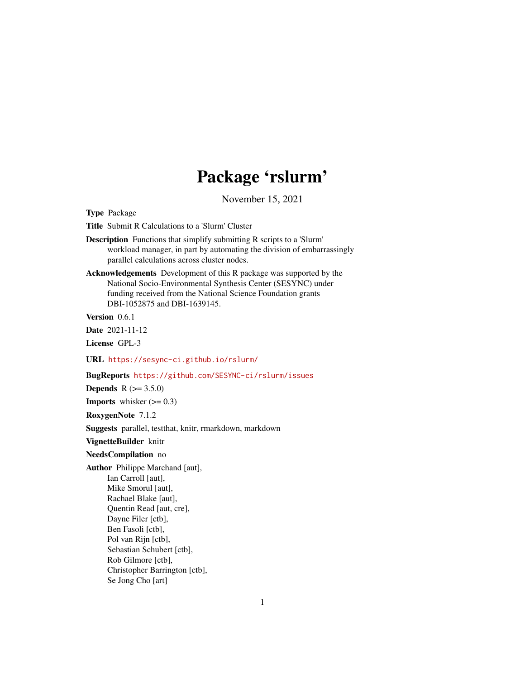# Package 'rslurm'

November 15, 2021

<span id="page-0-0"></span>Type Package

Title Submit R Calculations to a 'Slurm' Cluster

Description Functions that simplify submitting R scripts to a 'Slurm' workload manager, in part by automating the division of embarrassingly parallel calculations across cluster nodes.

Acknowledgements Development of this R package was supported by the National Socio-Environmental Synthesis Center (SESYNC) under funding received from the National Science Foundation grants DBI-1052875 and DBI-1639145.

Version 0.6.1

Date 2021-11-12

License GPL-3

URL <https://sesync-ci.github.io/rslurm/>

BugReports <https://github.com/SESYNC-ci/rslurm/issues>

**Depends**  $R (= 3.5.0)$ 

**Imports** whisker  $(>= 0.3)$ 

RoxygenNote 7.1.2

Suggests parallel, testthat, knitr, rmarkdown, markdown

#### VignetteBuilder knitr

#### NeedsCompilation no

Author Philippe Marchand [aut], Ian Carroll [aut], Mike Smorul [aut], Rachael Blake [aut], Quentin Read [aut, cre], Dayne Filer [ctb], Ben Fasoli [ctb], Pol van Rijn [ctb], Sebastian Schubert [ctb], Rob Gilmore [ctb], Christopher Barrington [ctb], Se Jong Cho [art]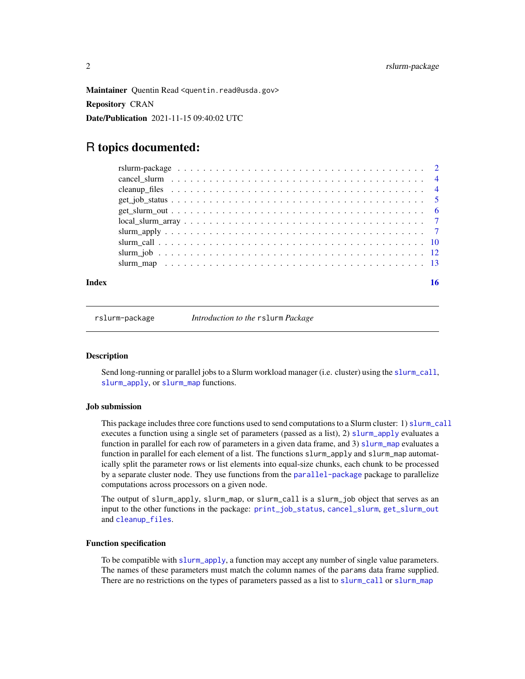<span id="page-1-0"></span>Maintainer Quentin Read <quentin.read@usda.gov> Repository CRAN Date/Publication 2021-11-15 09:40:02 UTC

## R topics documented:

| Index |  |
|-------|--|
|       |  |
|       |  |
|       |  |
|       |  |
|       |  |
|       |  |
|       |  |
|       |  |
|       |  |
|       |  |

rslurm-package *Introduction to the* rslurm *Package*

#### Description

Send long-running or parallel jobs to a Slurm workload manager (i.e. cluster) using the [slurm\\_call](#page-9-1), [slurm\\_apply](#page-6-1), or [slurm\\_map](#page-12-1) functions.

#### Job submission

This package includes three core functions used to send computations to a Slurm cluster: 1) [slurm\\_call](#page-9-1) executes a function using a single set of parameters (passed as a list), 2) [slurm\\_apply](#page-6-1) evaluates a function in parallel for each row of parameters in a given data frame, and 3) [slurm\\_map](#page-12-1) evaluates a function in parallel for each element of a list. The functions slurm\_apply and slurm\_map automatically split the parameter rows or list elements into equal-size chunks, each chunk to be processed by a separate cluster node. They use functions from the [parallel-package](#page-0-0) package to parallelize computations across processors on a given node.

The output of slurm\_apply, slurm\_map, or slurm\_call is a slurm\_job object that serves as an input to the other functions in the package: [print\\_job\\_status](#page-0-0), [cancel\\_slurm](#page-3-1), [get\\_slurm\\_out](#page-5-1) and [cleanup\\_files](#page-3-2).

#### Function specification

To be compatible with [slurm\\_apply](#page-6-1), a function may accept any number of single value parameters. The names of these parameters must match the column names of the params data frame supplied. There are no restrictions on the types of parameters passed as a list to [slurm\\_call](#page-9-1) or [slurm\\_map](#page-12-1)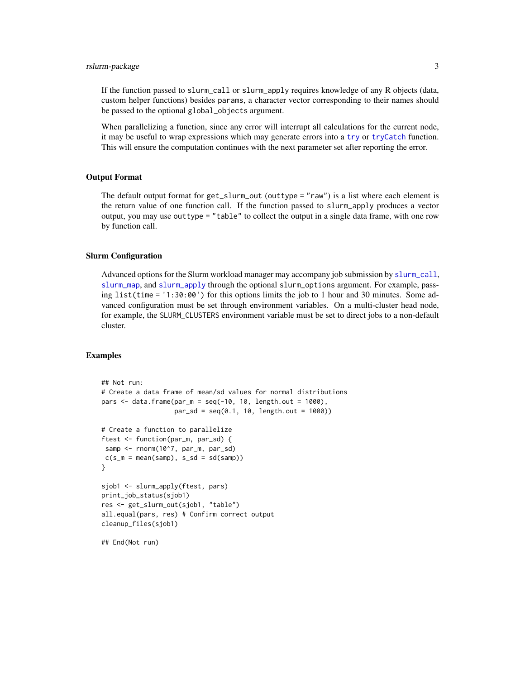#### <span id="page-2-0"></span>rslurm-package 3

If the function passed to slurm\_call or slurm\_apply requires knowledge of any R objects (data, custom helper functions) besides params, a character vector corresponding to their names should be passed to the optional global\_objects argument.

When parallelizing a function, since any error will interrupt all calculations for the current node, it may be useful to wrap expressions which may generate errors into a [try](#page-0-0) or [tryCatch](#page-0-0) function. This will ensure the computation continues with the next parameter set after reporting the error.

#### Output Format

The default output format for get\_slurm\_out (outtype = "raw") is a list where each element is the return value of one function call. If the function passed to slurm\_apply produces a vector output, you may use outtype = "table" to collect the output in a single data frame, with one row by function call.

#### Slurm Configuration

Advanced options for the Slurm workload manager may accompany job submission by [slurm\\_call](#page-9-1), [slurm\\_map](#page-12-1), and [slurm\\_apply](#page-6-1) through the optional slurm\_options argument. For example, passing list(time = '1:30:00') for this options limits the job to 1 hour and 30 minutes. Some advanced configuration must be set through environment variables. On a multi-cluster head node, for example, the SLURM\_CLUSTERS environment variable must be set to direct jobs to a non-default cluster.

#### Examples

```
## Not run:
# Create a data frame of mean/sd values for normal distributions
pars \leq data.frame(par_m = seq(-10, 10, length.out = 1000),
                  par\_sd = seq(0.1, 10, length.out = 1000)# Create a function to parallelize
ftest <- function(par_m, par_sd) {
 samp <- rnorm(10^7, par_m, par_sd)
c(s_m = mean(samp), s_s = sd(samp))}
sjob1 <- slurm_apply(ftest, pars)
print_job_status(sjob1)
res <- get_slurm_out(sjob1, "table")
all.equal(pars, res) # Confirm correct output
cleanup_files(sjob1)
## End(Not run)
```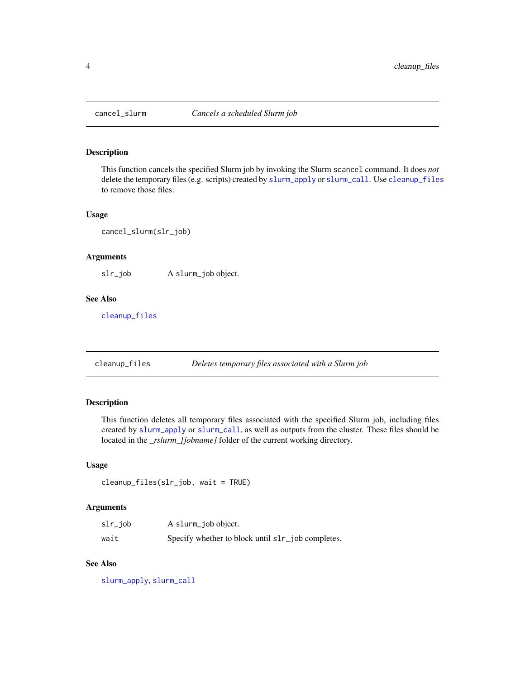<span id="page-3-1"></span><span id="page-3-0"></span>

#### Description

This function cancels the specified Slurm job by invoking the Slurm scancel command. It does *not* delete the temporary files (e.g. scripts) created by [slurm\\_apply](#page-6-1) or [slurm\\_call](#page-9-1). Use [cleanup\\_files](#page-3-2) to remove those files.

#### Usage

cancel\_slurm(slr\_job)

#### Arguments

slr\_job A slurm\_job object.

#### See Also

[cleanup\\_files](#page-3-2)

<span id="page-3-2"></span>cleanup\_files *Deletes temporary files associated with a Slurm job*

#### Description

This function deletes all temporary files associated with the specified Slurm job, including files created by [slurm\\_apply](#page-6-1) or [slurm\\_call](#page-9-1), as well as outputs from the cluster. These files should be located in the *\_rslurm\_[jobname]* folder of the current working directory.

#### Usage

```
cleanup_files(slr_job, wait = TRUE)
```
#### Arguments

| slr_job | A slurm_job object.                               |
|---------|---------------------------------------------------|
| wait    | Specify whether to block until slr_job completes. |

#### See Also

[slurm\\_apply](#page-6-1), [slurm\\_call](#page-9-1)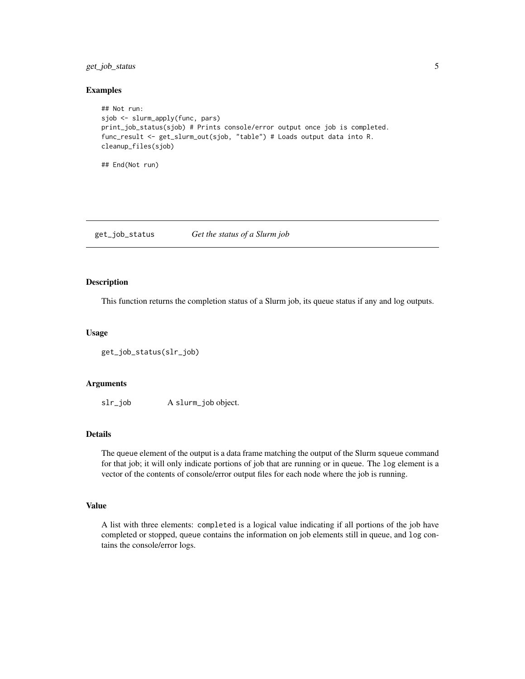<span id="page-4-0"></span>get\_job\_status 5

#### Examples

```
## Not run:
sjob <- slurm_apply(func, pars)
print_job_status(sjob) # Prints console/error output once job is completed.
func_result <- get_slurm_out(sjob, "table") # Loads output data into R.
cleanup_files(sjob)
```
## End(Not run)

<span id="page-4-1"></span>get\_job\_status *Get the status of a Slurm job*

#### Description

This function returns the completion status of a Slurm job, its queue status if any and log outputs.

#### Usage

```
get_job_status(slr_job)
```
#### Arguments

slr\_job A slurm\_job object.

#### Details

The queue element of the output is a data frame matching the output of the Slurm squeue command for that job; it will only indicate portions of job that are running or in queue. The log element is a vector of the contents of console/error output files for each node where the job is running.

#### Value

A list with three elements: completed is a logical value indicating if all portions of the job have completed or stopped, queue contains the information on job elements still in queue, and log contains the console/error logs.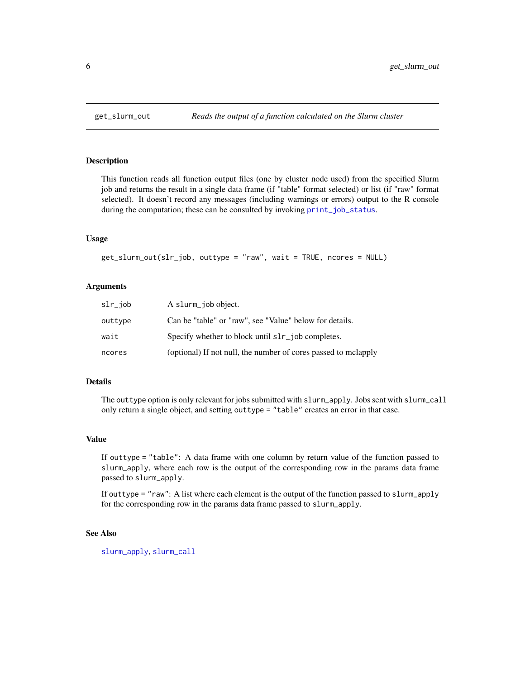<span id="page-5-1"></span><span id="page-5-0"></span>

#### **Description**

This function reads all function output files (one by cluster node used) from the specified Slurm job and returns the result in a single data frame (if "table" format selected) or list (if "raw" format selected). It doesn't record any messages (including warnings or errors) output to the R console during the computation; these can be consulted by invoking [print\\_job\\_status](#page-0-0).

#### Usage

```
get_slurm_out(slr_job, outtype = "raw", wait = TRUE, ncores = NULL)
```
#### Arguments

| $slr$ _job | A slurm_job object.                                            |
|------------|----------------------------------------------------------------|
| outtype    | Can be "table" or "raw", see "Value" below for details.        |
| wait       | Specify whether to block until slr_job completes.              |
| ncores     | (optional) If not null, the number of cores passed to mclapply |

#### Details

The outtype option is only relevant for jobs submitted with slurm\_apply. Jobs sent with slurm\_call only return a single object, and setting outtype = "table" creates an error in that case.

#### Value

If outtype = "table": A data frame with one column by return value of the function passed to slurm\_apply, where each row is the output of the corresponding row in the params data frame passed to slurm\_apply.

If outtype = "raw": A list where each element is the output of the function passed to slurm\_apply for the corresponding row in the params data frame passed to slurm\_apply.

#### See Also

[slurm\\_apply](#page-6-1), [slurm\\_call](#page-9-1)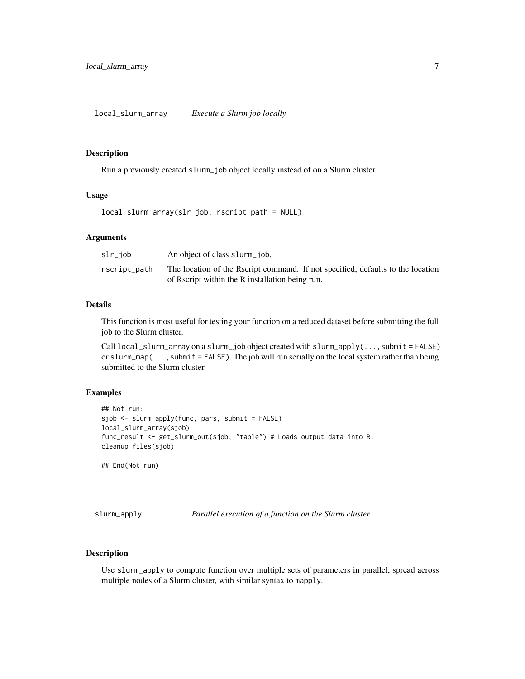#### <span id="page-6-0"></span>Description

Run a previously created slurm\_job object locally instead of on a Slurm cluster

#### Usage

local\_slurm\_array(slr\_job, rscript\_path = NULL)

#### Arguments

| slr_job      | An object of class slurm job.                                                   |
|--------------|---------------------------------------------------------------------------------|
| rscript_path | The location of the Rscript command. If not specified, defaults to the location |
|              | of Rscript within the R installation being run.                                 |

#### Details

This function is most useful for testing your function on a reduced dataset before submitting the full job to the Slurm cluster.

Call  $local\_slurm\_array$  on a slurm<sub>p</sub>job object created with slurm<sub>plapply</sub>(..., submit = FALSE) or slurm\_map $(\ldots,$  submit = FALSE). The job will run serially on the local system rather than being submitted to the Slurm cluster.

#### Examples

```
## Not run:
sjob <- slurm_apply(func, pars, submit = FALSE)
local_slurm_array(sjob)
func_result <- get_slurm_out(sjob, "table") # Loads output data into R.
cleanup_files(sjob)
## End(Not run)
```
<span id="page-6-1"></span>slurm\_apply *Parallel execution of a function on the Slurm cluster*

#### Description

Use slurm\_apply to compute function over multiple sets of parameters in parallel, spread across multiple nodes of a Slurm cluster, with similar syntax to mapply.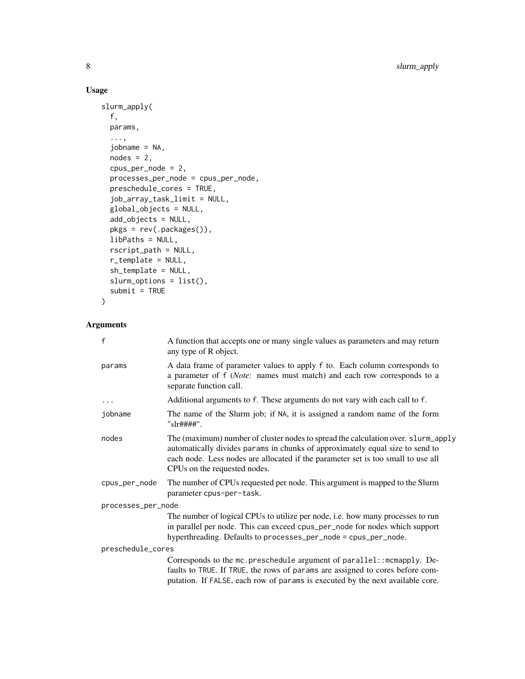### Usage

```
slurm_apply(
  f,
 params,
  ...,
  jobname = NA,
  nodes = 2,cpus_per_node = 2,
 processes_per_node = cpus_per_node,
 preschedule_cores = TRUE,
  job_array_task_limit = NULL,
 global_objects = NULL,
  add_objects = NULL,
 pkgs = rev(.packages()),
 libPaths = NULL,
  rscript_path = NULL,
  r_template = NULL,
  sh_template = NULL,
  slurm_options = list(),
  submit = TRUE\mathcal{L}
```
#### Arguments

| $\mathsf{f}$       | A function that accepts one or many single values as parameters and may return<br>any type of R object.                                                                                                                                                                                |  |
|--------------------|----------------------------------------------------------------------------------------------------------------------------------------------------------------------------------------------------------------------------------------------------------------------------------------|--|
| params             | A data frame of parameter values to apply f to. Each column corresponds to<br>a parameter of f (Note: names must match) and each row corresponds to a<br>separate function call.                                                                                                       |  |
| $\cdots$           | Additional arguments to f. These arguments do not vary with each call to f.                                                                                                                                                                                                            |  |
| jobname            | The name of the Slurm job; if NA, it is assigned a random name of the form<br>"slr####".                                                                                                                                                                                               |  |
| nodes              | The (maximum) number of cluster nodes to spread the calculation over. slurm_apply<br>automatically divides params in chunks of approximately equal size to send to<br>each node. Less nodes are allocated if the parameter set is too small to use all<br>CPUs on the requested nodes. |  |
| cpus_per_node      | The number of CPUs requested per node. This argument is mapped to the Slurm<br>parameter cpus-per-task.                                                                                                                                                                                |  |
| processes_per_node |                                                                                                                                                                                                                                                                                        |  |
|                    | The number of logical CPUs to utilize per node, i.e. how many processes to run<br>in parallel per node. This can exceed cpus_per_node for nodes which support<br>hyperthreading. Defaults to processes_per_node = cpus_per_node.                                                       |  |
| preschedule_cores  |                                                                                                                                                                                                                                                                                        |  |
|                    | Corresponds to the mc. preschedule argument of parallel:: mcmapply. De-<br>faults to TRUE. If TRUE, the rows of params are assigned to cores before com-<br>putation. If FALSE, each row of params is executed by the next available core.                                             |  |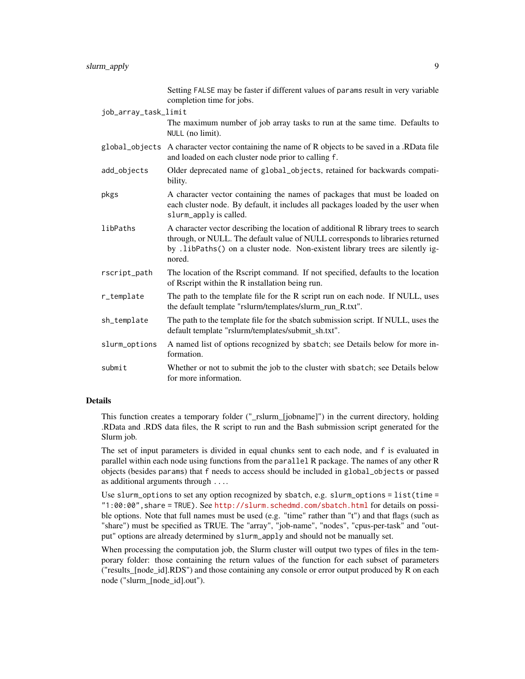|                      | Setting FALSE may be faster if different values of params result in very variable<br>completion time for jobs.                                                                                                                                                 |
|----------------------|----------------------------------------------------------------------------------------------------------------------------------------------------------------------------------------------------------------------------------------------------------------|
| job_array_task_limit |                                                                                                                                                                                                                                                                |
|                      | The maximum number of job array tasks to run at the same time. Defaults to<br>NULL (no limit).                                                                                                                                                                 |
| global_objects       | A character vector containing the name of R objects to be saved in a .RData file<br>and loaded on each cluster node prior to calling f.                                                                                                                        |
| add_objects          | Older deprecated name of global_objects, retained for backwards compati-<br>bility.                                                                                                                                                                            |
| pkgs                 | A character vector containing the names of packages that must be loaded on<br>each cluster node. By default, it includes all packages loaded by the user when<br>slurm_apply is called.                                                                        |
| libPaths             | A character vector describing the location of additional R library trees to search<br>through, or NULL. The default value of NULL corresponds to libraries returned<br>by .1ibPaths() on a cluster node. Non-existent library trees are silently ig-<br>nored. |
| rscript_path         | The location of the Rscript command. If not specified, defaults to the location<br>of Rscript within the R installation being run.                                                                                                                             |
| r_template           | The path to the template file for the R script run on each node. If NULL, uses<br>the default template "rslurm/templates/slurm_run_R.txt".                                                                                                                     |
| sh_template          | The path to the template file for the sbatch submission script. If NULL, uses the<br>default template "rslurm/templates/submit_sh.txt".                                                                                                                        |
| slurm_options        | A named list of options recognized by sbatch; see Details below for more in-<br>formation.                                                                                                                                                                     |
| submit               | Whether or not to submit the job to the cluster with sbatch; see Details below<br>for more information.                                                                                                                                                        |

#### Details

This function creates a temporary folder ("\_rslurm\_[jobname]") in the current directory, holding .RData and .RDS data files, the R script to run and the Bash submission script generated for the Slurm job.

The set of input parameters is divided in equal chunks sent to each node, and f is evaluated in parallel within each node using functions from the parallel R package. The names of any other R objects (besides params) that f needs to access should be included in global\_objects or passed as additional arguments through ....

Use slurm\_options to set any option recognized by sbatch, e.g. slurm\_options = list(time = "1:00:00",share = TRUE). See <http://slurm.schedmd.com/sbatch.html> for details on possible options. Note that full names must be used (e.g. "time" rather than "t") and that flags (such as "share") must be specified as TRUE. The "array", "job-name", "nodes", "cpus-per-task" and "output" options are already determined by slurm\_apply and should not be manually set.

When processing the computation job, the Slurm cluster will output two types of files in the temporary folder: those containing the return values of the function for each subset of parameters ("results\_[node\_id].RDS") and those containing any console or error output produced by R on each node ("slurm\_[node\_id].out").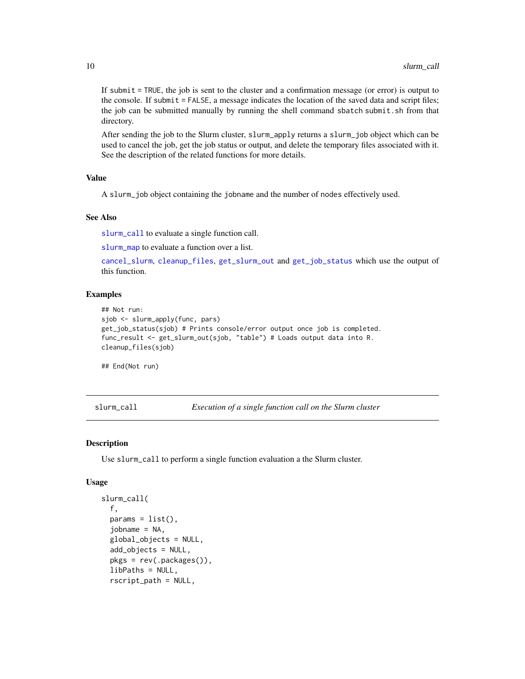If submit = TRUE, the job is sent to the cluster and a confirmation message (or error) is output to the console. If submit = FALSE, a message indicates the location of the saved data and script files; the job can be submitted manually by running the shell command sbatch submit.sh from that directory.

After sending the job to the Slurm cluster, slurm\_apply returns a slurm\_job object which can be used to cancel the job, get the job status or output, and delete the temporary files associated with it. See the description of the related functions for more details.

#### Value

A slurm\_job object containing the jobname and the number of nodes effectively used.

#### See Also

[slurm\\_call](#page-9-1) to evaluate a single function call.

[slurm\\_map](#page-12-1) to evaluate a function over a list.

[cancel\\_slurm](#page-3-1), [cleanup\\_files](#page-3-2), [get\\_slurm\\_out](#page-5-1) and [get\\_job\\_status](#page-4-1) which use the output of this function.

#### Examples

```
## Not run:
sjob <- slurm_apply(func, pars)
get_job_status(sjob) # Prints console/error output once job is completed.
func_result <- get_slurm_out(sjob, "table") # Loads output data into R.
cleanup_files(sjob)
```
## End(Not run)

<span id="page-9-1"></span>slurm\_call *Execution of a single function call on the Slurm cluster*

#### Description

Use slurm\_call to perform a single function evaluation a the Slurm cluster.

#### Usage

```
slurm_call(
  f,
  params = list(),jobname = NA,
  global_objects = NULL,
  add_objects = NULL,
  pkgs = rev(.packages()),
  libPaths = NULL,
  rscript_path = NULL,
```
<span id="page-9-0"></span>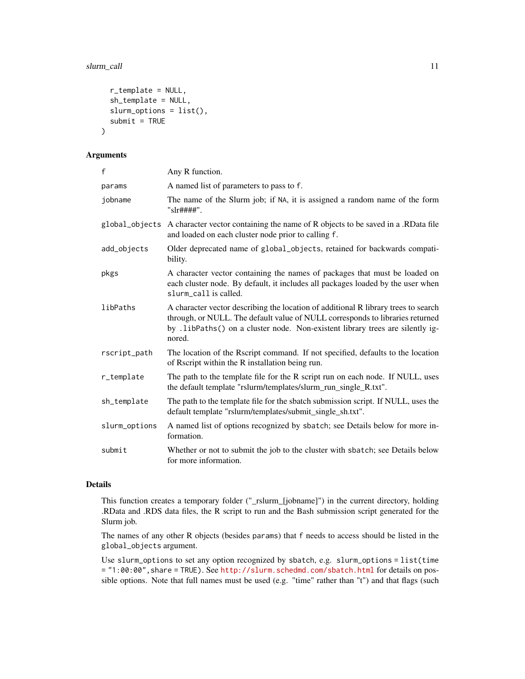```
r_template = NULL,
  sh_template = NULL,
  slurm_options = list(),
  submit = TRUE\lambda
```
### Arguments

| £             | Any R function.                                                                                                                                                                                                                                                |
|---------------|----------------------------------------------------------------------------------------------------------------------------------------------------------------------------------------------------------------------------------------------------------------|
| params        | A named list of parameters to pass to f.                                                                                                                                                                                                                       |
| jobname       | The name of the Slurm job; if NA, it is assigned a random name of the form<br>"slr####".                                                                                                                                                                       |
|               | global_objects A character vector containing the name of R objects to be saved in a .RData file<br>and loaded on each cluster node prior to calling f.                                                                                                         |
| add_objects   | Older deprecated name of global_objects, retained for backwards compati-<br>bility.                                                                                                                                                                            |
| pkgs          | A character vector containing the names of packages that must be loaded on<br>each cluster node. By default, it includes all packages loaded by the user when<br>slurm_call is called.                                                                         |
| libPaths      | A character vector describing the location of additional R library trees to search<br>through, or NULL. The default value of NULL corresponds to libraries returned<br>by .1ibPaths() on a cluster node. Non-existent library trees are silently ig-<br>nored. |
| rscript_path  | The location of the Rscript command. If not specified, defaults to the location<br>of Rscript within the R installation being run.                                                                                                                             |
| r_template    | The path to the template file for the R script run on each node. If NULL, uses<br>the default template "rslurm/templates/slurm_run_single_R.txt".                                                                                                              |
| sh_template   | The path to the template file for the sbatch submission script. If NULL, uses the<br>default template "rslurm/templates/submit_single_sh.txt".                                                                                                                 |
| slurm_options | A named list of options recognized by sbatch; see Details below for more in-<br>formation.                                                                                                                                                                     |
| submit        | Whether or not to submit the job to the cluster with sbatch; see Details below<br>for more information.                                                                                                                                                        |

#### Details

This function creates a temporary folder ("\_rslurm\_[jobname]") in the current directory, holding .RData and .RDS data files, the R script to run and the Bash submission script generated for the Slurm job.

The names of any other R objects (besides params) that f needs to access should be listed in the global\_objects argument.

Use slurm\_options to set any option recognized by sbatch, e.g. slurm\_options = list(time = "1:00:00",share = TRUE). See <http://slurm.schedmd.com/sbatch.html> for details on possible options. Note that full names must be used (e.g. "time" rather than "t") and that flags (such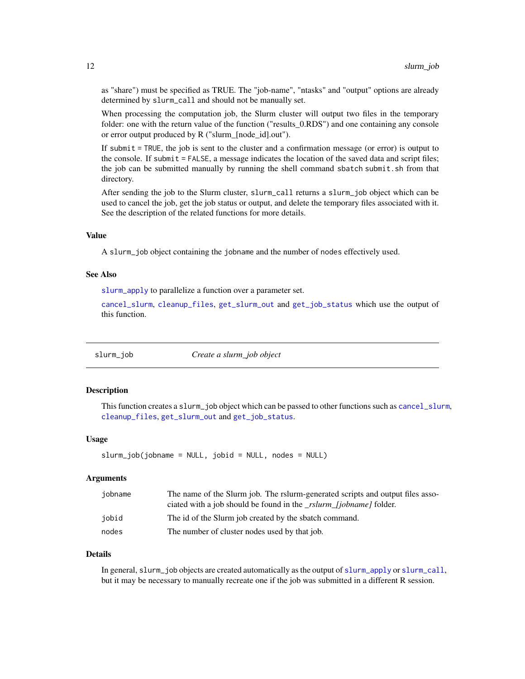<span id="page-11-0"></span>as "share") must be specified as TRUE. The "job-name", "ntasks" and "output" options are already determined by slurm\_call and should not be manually set.

When processing the computation job, the Slurm cluster will output two files in the temporary folder: one with the return value of the function ("results\_0.RDS") and one containing any console or error output produced by R ("slurm\_[node\_id].out").

If submit = TRUE, the job is sent to the cluster and a confirmation message (or error) is output to the console. If submit = FALSE, a message indicates the location of the saved data and script files; the job can be submitted manually by running the shell command sbatch submit.sh from that directory.

After sending the job to the Slurm cluster, slurm\_call returns a slurm\_job object which can be used to cancel the job, get the job status or output, and delete the temporary files associated with it. See the description of the related functions for more details.

#### Value

A slurm\_job object containing the jobname and the number of nodes effectively used.

#### See Also

[slurm\\_apply](#page-6-1) to parallelize a function over a parameter set.

[cancel\\_slurm](#page-3-1), [cleanup\\_files](#page-3-2), [get\\_slurm\\_out](#page-5-1) and [get\\_job\\_status](#page-4-1) which use the output of this function.

slurm\_job *Create a slurm\_job object*

#### Description

This function creates a slurm\_job object which can be passed to other functions such as [cancel\\_slurm](#page-3-1), [cleanup\\_files](#page-3-2), [get\\_slurm\\_out](#page-5-1) and [get\\_job\\_status](#page-4-1).

#### Usage

 $slurm\_job(jobname = NULL, jobid = NULL, nodes = NULL)$ 

#### Arguments

| iobname | The name of the Slurm job. The rslurm-generated scripts and output files asso- |
|---------|--------------------------------------------------------------------------------|
|         | ciated with a job should be found in the _rslurm_fjobname] folder.             |
| iobid   | The id of the Slurm job created by the sbatch command.                         |
| nodes   | The number of cluster nodes used by that job.                                  |

#### Details

In general, slurm\_job objects are created automatically as the output of [slurm\\_apply](#page-6-1) or [slurm\\_call](#page-9-1), but it may be necessary to manually recreate one if the job was submitted in a different R session.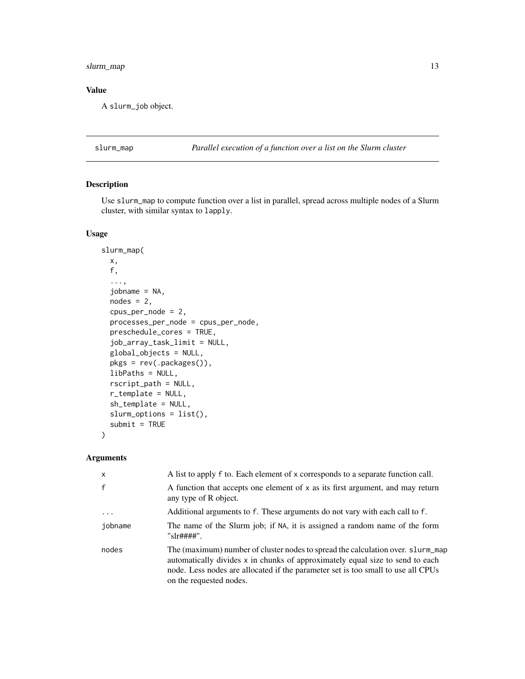#### <span id="page-12-0"></span>slurm\_map 13

### Value

A slurm\_job object.

<span id="page-12-1"></span>slurm\_map *Parallel execution of a function over a list on the Slurm cluster*

#### Description

Use slurm\_map to compute function over a list in parallel, spread across multiple nodes of a Slurm cluster, with similar syntax to lapply.

#### Usage

```
slurm_map(
 x,
  f,
  ...,
  jobname = NA,
 nodes = 2,cpus_per_node = 2,
 processes_per_node = cpus_per_node,
 preschedule_cores = TRUE,
  job_array_task_limit = NULL,
  global_objects = NULL,
 pkgs = rev(.packages()),
  libPaths = NULL,
  rscript_path = NULL,
  r_template = NULL,
  sh_template = NULL,
  slurm_options = list(),
  submit = TRUE)
```
#### Arguments

| $\mathsf{x}$ | A list to apply f to. Each element of x corresponds to a separate function call.                                                                                                                                                                                                |
|--------------|---------------------------------------------------------------------------------------------------------------------------------------------------------------------------------------------------------------------------------------------------------------------------------|
| $\mathbf{f}$ | A function that accepts one element of x as its first argument, and may return<br>any type of R object.                                                                                                                                                                         |
| $\ddots$     | Additional arguments to f. These arguments do not vary with each call to f.                                                                                                                                                                                                     |
| iobname      | The name of the Slurm job; if NA, it is assigned a random name of the form<br>"s1r####"                                                                                                                                                                                         |
| nodes        | The (maximum) number of cluster nodes to spread the calculation over. slurm_map<br>automatically divides x in chunks of approximately equal size to send to each<br>node. Less nodes are allocated if the parameter set is too small to use all CPUs<br>on the requested nodes. |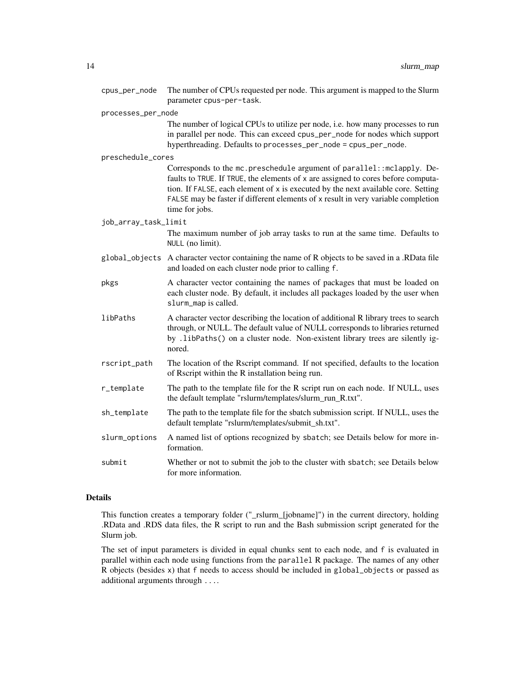| cpus_per_node        | The number of CPUs requested per node. This argument is mapped to the Slurm<br>parameter cpus-per-task.                                                                                                                                                                                                                                               |
|----------------------|-------------------------------------------------------------------------------------------------------------------------------------------------------------------------------------------------------------------------------------------------------------------------------------------------------------------------------------------------------|
| processes_per_node   |                                                                                                                                                                                                                                                                                                                                                       |
|                      | The number of logical CPUs to utilize per node, i.e. how many processes to run<br>in parallel per node. This can exceed cpus_per_node for nodes which support<br>hyperthreading. Defaults to processes_per_node = cpus_per_node.                                                                                                                      |
| preschedule_cores    |                                                                                                                                                                                                                                                                                                                                                       |
|                      | Corresponds to the mc.preschedule argument of parallel::mclapply. De-<br>faults to TRUE. If TRUE, the elements of x are assigned to cores before computa-<br>tion. If FALSE, each element of x is executed by the next available core. Setting<br>FALSE may be faster if different elements of x result in very variable completion<br>time for jobs. |
| job_array_task_limit |                                                                                                                                                                                                                                                                                                                                                       |
|                      | The maximum number of job array tasks to run at the same time. Defaults to<br>NULL (no limit).                                                                                                                                                                                                                                                        |
| global_objects       | A character vector containing the name of R objects to be saved in a .RData file<br>and loaded on each cluster node prior to calling f.                                                                                                                                                                                                               |
| pkgs                 | A character vector containing the names of packages that must be loaded on<br>each cluster node. By default, it includes all packages loaded by the user when<br>slurm_map is called.                                                                                                                                                                 |
| libPaths             | A character vector describing the location of additional R library trees to search<br>through, or NULL. The default value of NULL corresponds to libraries returned<br>by .1ibPaths() on a cluster node. Non-existent library trees are silently ig-<br>nored.                                                                                        |
| rscript_path         | The location of the Rscript command. If not specified, defaults to the location<br>of Rscript within the R installation being run.                                                                                                                                                                                                                    |
| r_template           | The path to the template file for the R script run on each node. If NULL, uses<br>the default template "rslurm/templates/slurm_run_R.txt".                                                                                                                                                                                                            |
| sh_template          | The path to the template file for the sbatch submission script. If NULL, uses the<br>default template "rslurm/templates/submit_sh.txt".                                                                                                                                                                                                               |
| slurm_options        | A named list of options recognized by sbatch; see Details below for more in-<br>formation.                                                                                                                                                                                                                                                            |
| submit               | Whether or not to submit the job to the cluster with sbatch; see Details below<br>for more information.                                                                                                                                                                                                                                               |

#### Details

This function creates a temporary folder ("\_rslurm\_[jobname]") in the current directory, holding .RData and .RDS data files, the R script to run and the Bash submission script generated for the Slurm job.

The set of input parameters is divided in equal chunks sent to each node, and f is evaluated in parallel within each node using functions from the parallel R package. The names of any other R objects (besides x) that f needs to access should be included in global\_objects or passed as additional arguments through ....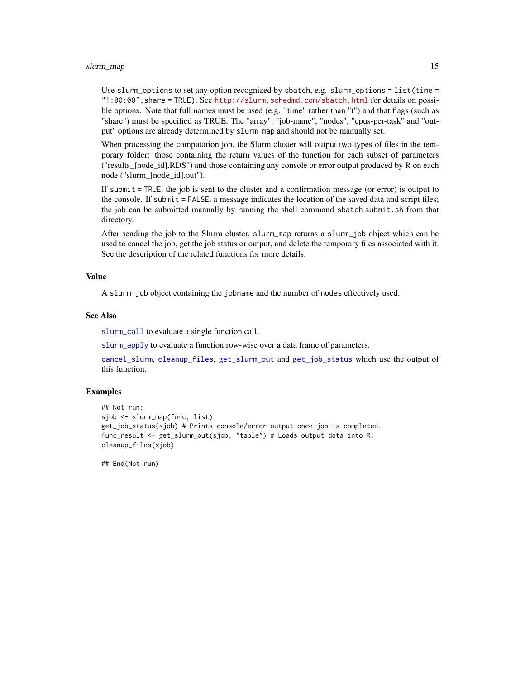#### <span id="page-14-0"></span>slurm\_map 15

Use slurm\_options to set any option recognized by sbatch, e.g. slurm\_options = list(time = "1:00:00",share = TRUE). See <http://slurm.schedmd.com/sbatch.html> for details on possible options. Note that full names must be used (e.g. "time" rather than "t") and that flags (such as "share") must be specified as TRUE. The "array", "job-name", "nodes", "cpus-per-task" and "output" options are already determined by slurm\_map and should not be manually set.

When processing the computation job, the Slurm cluster will output two types of files in the temporary folder: those containing the return values of the function for each subset of parameters ("results\_[node\_id].RDS") and those containing any console or error output produced by R on each node ("slurm\_[node\_id].out").

If submit = TRUE, the job is sent to the cluster and a confirmation message (or error) is output to the console. If submit = FALSE, a message indicates the location of the saved data and script files; the job can be submitted manually by running the shell command sbatch submit.sh from that directory.

After sending the job to the Slurm cluster, slurm\_map returns a slurm\_job object which can be used to cancel the job, get the job status or output, and delete the temporary files associated with it. See the description of the related functions for more details.

#### Value

A slurm\_job object containing the jobname and the number of nodes effectively used.

#### See Also

[slurm\\_call](#page-9-1) to evaluate a single function call.

[slurm\\_apply](#page-6-1) to evaluate a function row-wise over a data frame of parameters.

[cancel\\_slurm](#page-3-1), [cleanup\\_files](#page-3-2), [get\\_slurm\\_out](#page-5-1) and [get\\_job\\_status](#page-4-1) which use the output of this function.

#### Examples

```
## Not run:
sjob <- slurm_map(func, list)
get_job_status(sjob) # Prints console/error output once job is completed.
func_result <- get_slurm_out(sjob, "table") # Loads output data into R.
cleanup_files(sjob)
```
## End(Not run)